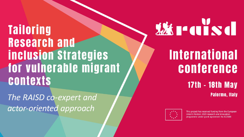**Tailoring Research and inclusion Strategies** for vulnerable migrant **contexts** 

The RAISD co-expert and actor-oriented approach

# **WEITERS**

## **International** conference

#### **17th - 18th May Palermo, Italy**



This project has received funding from the European Union's Horizon 2020 research and innovation programme under grant agreement No 822688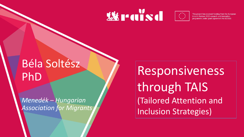### **XX raisa**



This project has received funding from the European Union's Horizon 2020 research and innovation programme under grant agreement No 822688

### Béla Soltész PhD

*Menedék – Hungarian Association for Migrants*

Responsiveness through TAIS (Tailored Attention and Inclusion Strategies)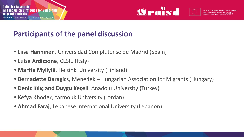

### **Participants of the panel discussion**

- **• Liisa Hänninen**, Universidad Complutense de Madrid (Spain)
- **• Luisa Ardizzone**, CESIE (Italy)
- **• Martta Myllylä**, Helsinki University (Finland)
- **• Bernadette Daragics**, Menedék Hungarian Association for Migrants (Hungary)
- **• Deniz Kılıç and Duygu Keçeli**, Anadolu University (Turkey)
- **• Kefya Khoder**, Yarmouk University (Jordan)
- **• Ahmad Faraj**, Lebanese International University (Lebanon)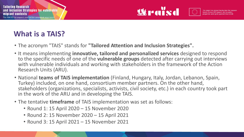

### **What is a TAIS?**

- The acronym "TAIS" stands for **"Tailored Attention and Inclusion Strategies".**
- It means implementing **innovative, tailored and personalized services** designed to respond to the specific needs of one of the **vulnerable groups** detected after carrying out interviews with vulnerable individuals and working with stakeholders in the framework of the Action Research Units (ARU).
- National **teams of TAIS implementation** (Finland, Hungary, Italy, Jordan, Lebanon, Spain, Turkey) included, on one hand, consortium member partners. On the other hand, stakeholders (organizations, specialists, activists, civil society, etc.) in each country took part in the work of the ARU and in developing the TAIS.
- The tentative **timeframe** of TAIS implementation was set as follows:
	- Round 1: 15 April 2020 15 November 2020
	- Round 2: 15 November 2020 15 April 2021
	- Round 3: 15 April 2021 15 November 2021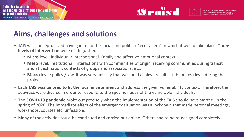

### **Aims, challenges and solutions**

- TAIS was conceptualized having in mind the social and political "ecosystem" in which it would take place. **Three levels of intervention** were distinguished:
	- **• Micro** level: individual / interpersonal. Family and affective-emotional context.
	- **• Meso** level: institutional. Interactions with communities of origin, receiving communities during transit and at destination, contexts of groups and associations, etc.
	- **• Macro** level: policy / law. It was very unlikely that we could achieve results at the macro level during the project.
- **• Each TAIS was tailored to fit the local environment** and address the given vulnerability context. Therefore, the activities were diverse in order to respond to the specific needs of the vulnerable individuals.
- The **COVID-19 pandemic** broke out precisely when the implementation of the TAIS should have started, in the spring of 2020. The immediate effect of the emergency situation was a lockdown that made personal meetings, workshops, courses etc. unfeasible.
- Many of the activities could be continued and carried out online. Others had to be re-designed completely.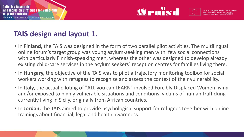

### **TAIS design and layout 1.**

- In **Finland,** the TAIS was designed in the form of two parallel pilot activities. The multilingual online forum's target group was young asylum-seeking men with few social connections with particularly Finnish-speaking men, whereas the other was designed to develop already existing child-care services in the asylum seekers´ reception centres for families living there.
- In **Hungary,** the objective of the TAIS was to pilot a trajectory monitoring toolbox for social workers working with refugees to recognise and assess the context of their vulnerability.
- In **Italy,** the actual piloting of "ALL you can LEARN" involved Forcibly Displaced Women living and/or exposed to highly vulnerable situations and conditions, victims of human trafficking currently living in Sicily, originally from African countries.
- In **Jordan,** the TAIS aimed to provide psychological support for refugees together with online trainings about financial, legal and health awareness.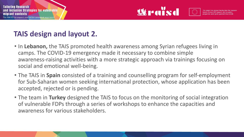

#### **TAIS design and layout 2.**

- In **Lebanon,** the TAIS promoted health awareness among Syrian refugees living in camps. The COVID-19 emergency made it necessary to combine simple awareness-raising activities with a more strategic approach via trainings focusing on social and emotional well-being.
- The TAIS in **Spain** consisted of a training and counselling program for self-employment for Sub-Saharan women seeking international protection, whose application has been accepted, rejected or is pending.
- The team in **Turkey** designed the TAIS to focus on the monitoring of social integration of vulnerable FDPs through a series of workshops to enhance the capacities and awareness for various stakeholders.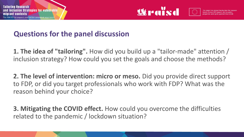



#### **Questions for the panel discussion**

**1. The idea of "tailoring".** How did you build up a "tailor-made" attention / inclusion strategy? How could you set the goals and choose the methods?

**2. The level of intervention: micro or meso.** Did you provide direct support to FDP, or did you target professionals who work with FDP? What was the reason behind your choice?

**3. Mitigating the COVID effect.** How could you overcome the difficulties related to the pandemic / lockdown situation?